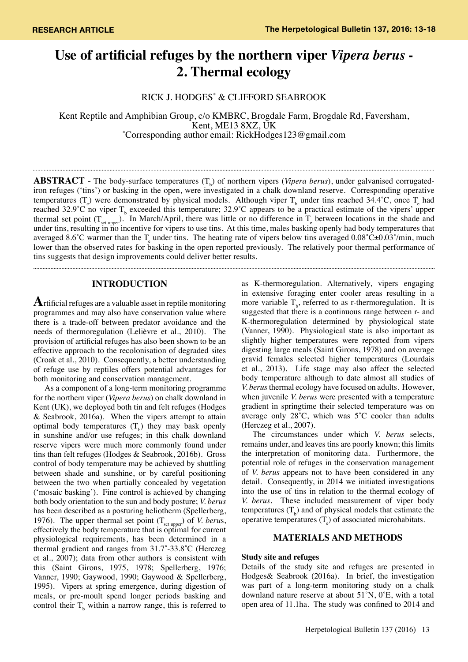# **Use of artificial refuges by the northern viper** *Vipera berus* **- 2. Thermal ecology**

RICK J. HODGES\* & CLIFFORD SEABROOK

Kent Reptile and Amphibian Group, c/o KMBRC, Brogdale Farm, Brogdale Rd, Faversham,<br>Kent, ME13 8XZ, UK Kent, ME13 8XZ, UK<br>Corresponding author email: RickHodges123@gmail.com\*

**ABSTRACT** - The body-surface temperatures  $(T_b)$  of northern vipers (*Vipera berus*), under galvanised corrugatediron refuges ('tins') or basking in the open, were investigated in a chalk downland reserve. Corresponding operative temperatures (T<sub>e</sub>) were demonstrated by physical models. Although viper T<sub>b</sub> under tins reached 34.4°C, once T<sub>e</sub> had reached 32.9°C no viper  $T_b$  exceeded this temperature; 32.9°C appears to be a practical estimate of the vipers' upper thermal set point  $(T_{\text{set upper}})$ . In March/April, there was little or no difference in  $T_{\text{e}}$  between locations in the shade and under tins, resulting in no incentive for vipers to use tins. At this time, males basking openly had body temperatures that averaged 8.6°C warmer than the  $T_e$  under tins. The heating rate of vipers below tins averaged  $0.08^{\circ}$ C $\pm$ 0.03°/min, much lower than the observed rates for basking in the open reported previously. The relatively poor thermal performance of tins suggests that design improvements could deliver better results.

# **INTRODUCTION**

**A**rtificial refuges are a valuable asset in reptile monitoring programmes and may also have conservation value where there is a trade-off between predator avoidance and the needs of thermoregulation (Lelièvre et al., 2010). The provision of artificial refuges has also been shown to be an effective approach to the recolonisation of degraded sites (Croak et al., 2010). Consequently, a better understanding of refuge use by reptiles offers potential advantages for both monitoring and conservation management.

As a component of a long-term monitoring programme for the northern viper (*Vipera berus*) on chalk downland in Kent (UK), we deployed both tin and felt refuges (Hodges & Seabrook, 2016a). When the vipers attempt to attain optimal body temperatures  $(T_b)$  they may bask openly in sunshine and/or use refuges; in this chalk downland reserve vipers were much more commonly found under tins than felt refuges (Hodges & Seabrook, 2016b). Gross control of body temperature may be achieved by shuttling between shade and sunshine, or by careful positioning between the two when partially concealed by vegetation ('mosaic basking'). Fine control is achieved by changing both body orientation to the sun and body posture; *V. berus* has been described as a posturing heliotherm (Spellerberg, 1976). The upper thermal set point  $(T_{\text{set upper}})$  of *V. berus*, effectively the body temperature that is optimal for current physiological requirements, has been determined in a thermal gradient and ranges from 31.7˚-33.8˚C (Herczeg et al., 2007); data from other authors is consistent with this (Saint Girons, 1975, 1978; Spellerberg, 1976; Vanner, 1990; Gaywood, 1990; Gaywood & Spellerberg, 1995). Vipers at spring emergence, during digestion of meals, or pre-moult spend longer periods basking and control their  $T<sub>b</sub>$  within a narrow range, this is referred to as K-thermoregulation. Alternatively, vipers engaging in extensive foraging enter cooler areas resulting in a more variable  $T<sub>b</sub>$ , referred to as r-thermoregulation. It is suggested that there is a continuous range between r- and K-thermoregulation determined by physiological state (Vanner, 1990). Physiological state is also important as slightly higher temperatures were reported from vipers digesting large meals (Saint Girons, 1978) and on average gravid females selected higher temperatures (Lourdais et al., 2013). Life stage may also affect the selected body temperature although to date almost all studies of *V. berus* thermal ecology have focused on adults. However, when juvenile *V. berus* were presented with a temperature gradient in springtime their selected temperature was on average only  $28^{\circ}$ C, which was  $5^{\circ}$ C cooler than adults (Herczeg et al., 2007).

The circumstances under which *V. berus* selects, remains under, and leaves tins are poorly known; this limits the interpretation of monitoring data. Furthermore, the potential role of refuges in the conservation management of *V. berus* appears not to have been considered in any detail. Consequently, in 2014 we initiated investigations into the use of tins in relation to the thermal ecology of *V. berus*. These included measurement of viper body temperatures  $(T_b)$  and of physical models that estimate the operative temperatures  $(T_e)$  of associated microhabitats.

## **MATERIALS AND METHODS**

## **Study site and refuges**

Details of the study site and refuges are presented in Hodges& Seabrook (2016a). In brief, the investigation was part of a long-term monitoring study on a chalk downland nature reserve at about 51˚N, 0˚E, with a total open area of 11.1ha. The study was confined to 2014 and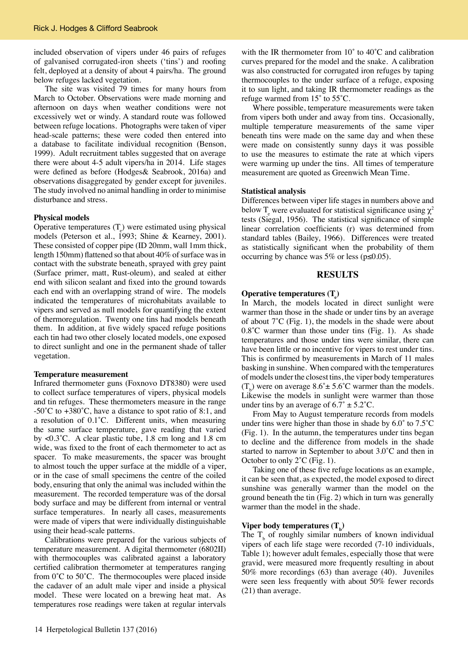included observation of vipers under 46 pairs of refuges of galvanised corrugated-iron sheets ('tins') and roofing felt, deployed at a density of about 4 pairs/ha. The ground below refuges lacked vegetation.

The site was visited 79 times for many hours from March to October. Observations were made morning and afternoon on days when weather conditions were not excessively wet or windy. A standard route was followed between refuge locations. Photographs were taken of viper head-scale patterns; these were coded then entered into a database to facilitate individual recognition (Benson, 1999). Adult recruitment tables suggested that on average there were about 4-5 adult vipers/ha in 2014. Life stages were defined as before (Hodges& Seabrook, 2016a) and observations disaggregated by gender except for juveniles. The study involved no animal handling in order to minimise disturbance and stress.

#### **Physical models**

Operative temperatures  $(T_e)$  were estimated using physical models (Peterson et al., 1993; Shine & Kearney, 2001). These consisted of copper pipe (ID 20mm, wall 1mm thick, length 150mm) flattened so that about 40% of surface was in contact with the substrate beneath, sprayed with grey paint (Surface primer, matt, Rust-oleum), and sealed at either end with silicon sealant and fixed into the ground towards each end with an overlapping strand of wire. The models indicated the temperatures of microhabitats available to vipers and served as null models for quantifying the extent of thermoregulation. Twenty one tins had models beneath them. In addition, at five widely spaced refuge positions each tin had two other closely located models, one exposed to direct sunlight and one in the permanent shade of taller vegetation.

#### **Temperature measurement**

Infrared thermometer guns (Foxnovo DT8380) were used to collect surface temperatures of vipers, physical models and tin refuges. These thermometers measure in the range -50 $^{\circ}$ C to +380 $^{\circ}$ C, have a distance to spot ratio of 8:1, and a resolution of 0.1˚C. Different units, when measuring the same surface temperature, gave reading that varied by <0.3˚C. A clear plastic tube, 1.8 cm long and 1.8 cm wide, was fixed to the front of each thermometer to act as spacer. To make measurements, the spacer was brought to almost touch the upper surface at the middle of a viper, or in the case of small specimens the centre of the coiled body, ensuring that only the animal was included within the measurement. The recorded temperature was of the dorsal body surface and may be different from internal or ventral surface temperatures. In nearly all cases, measurements were made of vipers that were individually distinguishable using their head-scale patterns.

Calibrations were prepared for the various subjects of temperature measurement. A digital thermometer (6802II) with thermocouples was calibrated against a laboratory certified calibration thermometer at temperatures ranging from  $0^{\circ}$ C to  $50^{\circ}$ C. The thermocouples were placed inside the cadaver of an adult male viper and inside a physical model. These were located on a brewing heat mat. As temperatures rose readings were taken at regular intervals

with the IR thermometer from 10° to 40°C and calibration curves prepared for the model and the snake. A calibration was also constructed for corrugated iron refuges by taping thermocouples to the under surface of a refuge, exposing it to sun light, and taking IR thermometer readings as the refuge warmed from 15˚ to 55˚C.

Where possible, temperature measurements were taken from vipers both under and away from tins. Occasionally, multiple temperature measurements of the same viper beneath tins were made on the same day and when these were made on consistently sunny days it was possible to use the measures to estimate the rate at which vipers were warming up under the tins. All times of temperature measurement are quoted as Greenwich Mean Time.

#### **Statistical analysis**

Differences between viper life stages in numbers above and below  $T_e$  were evaluated for statistical significance using  $\chi^2$ tests (Siegal, 1956). The statistical significance of simple linear correlation coefficients (r) was determined from standard tables (Bailey, 1966). Differences were treated as statistically significant when the probability of them occurring by chance was  $5\%$  or less ( $p \le 0.05$ ).

#### **RESULTS**

# **Operative temperatures (T<sup>e</sup> )**

In March, the models located in direct sunlight were warmer than those in the shade or under tins by an average of about  $7^{\circ}$ C (Fig. 1), the models in the shade were about 0.8˚C warmer than those under tins (Fig. 1). As shade temperatures and those under tins were similar, there can have been little or no incentive for vipers to rest under tins. This is confirmed by measurements in March of 11 males basking in sunshine. When compared with the temperatures of models under the closest tins, the viper body temperatures  $(T_b)$  were on average  $8.6^{\circ} \pm 5.6^{\circ}$ C warmer than the models. Likewise the models in sunlight were warmer than those under tins by an average of  $6.7^{\circ} \pm 5.2^{\circ}$ C.

From May to August temperature records from models under tins were higher than those in shade by  $6.0^{\circ}$  to  $7.5^{\circ}$ C (Fig. 1). In the autumn, the temperatures under tins began to decline and the difference from models in the shade started to narrow in September to about 3.0˚C and then in October to only 2˚C (Fig. 1).

Taking one of these five refuge locations as an example, it can be seen that, as expected, the model exposed to direct sunshine was generally warmer than the model on the ground beneath the tin (Fig. 2) which in turn was generally warmer than the model in the shade.

# $V$ iper body temperatures  $(T_{\rm b})$

The  $T<sub>b</sub>$  of roughly similar numbers of known individual vipers of each life stage were recorded (7-10 individuals, Table 1); however adult females, especially those that were gravid, were measured more frequently resulting in about 50% more recordings (63) than average (40). Juveniles were seen less frequently with about 50% fewer records (21) than average.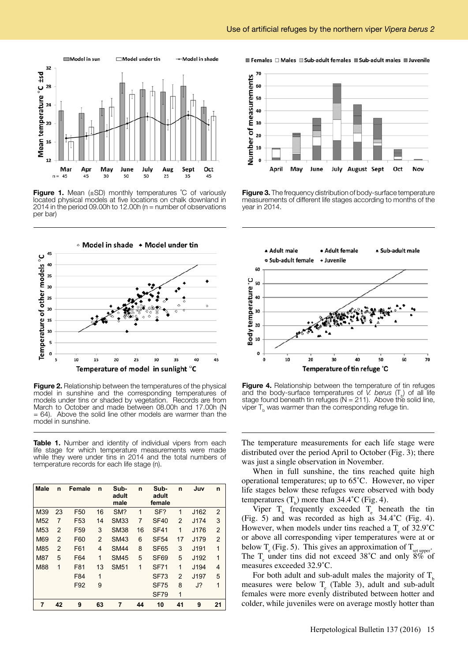

**Figure 1.** Mean (±SD) monthly temperatures °C of variously located physical models at five locations on chalk downland in 2014 in the period 09.00h to 12.00h ( $n =$  number of observations per bar)



**Figure 2.** Relationship between the temperatures of the physical model in sunshine and the corresponding temperatures of models under tins or shaded by vegetation. Records are from March to October and made between 08.00h and 17.00h (N = 64). Above the solid line other models are warmer than the model in sunshine.

Table 1. Number and identity of individual vipers from each life stage for which temperature measurements were made while they were under tins in 2014 and the total numbers of temperature records for each life stage (n).

| <b>Male</b>     | n              | Female          | n  | Sub-<br>adult<br>male | n  | Sub-<br>adult<br>female | n                        | Juv  | n              |
|-----------------|----------------|-----------------|----|-----------------------|----|-------------------------|--------------------------|------|----------------|
| M39             | 23             | F <sub>50</sub> | 16 | SM?                   | 1  | SF?                     | 1                        | J162 | $\overline{2}$ |
| M <sub>52</sub> | $\overline{7}$ | F <sub>53</sub> | 14 | <b>SM33</b>           | 7  | <b>SF40</b>             | $\overline{\phantom{a}}$ | J174 | 3              |
| M <sub>53</sub> | 2              | F <sub>59</sub> | 3  | <b>SM38</b>           | 16 | <b>SF41</b>             | 1                        | J176 | $\overline{2}$ |
| M69             | 2              | F60             | 2  | <b>SM43</b>           | 6  | <b>SF54</b>             | 17                       | J179 | $\overline{2}$ |
| M85             | $\overline{2}$ | F61             | 4  | <b>SM44</b>           | 8  | <b>SF65</b>             | 3                        | J191 | 1              |
| <b>M87</b>      | 5              | F64             | 1  | <b>SM45</b>           | 5  | <b>SF69</b>             | 5                        | J192 | 1              |
| <b>M88</b>      | $\overline{1}$ | F81             | 13 | <b>SM51</b>           | 1  | <b>SF71</b>             | 1                        | J194 | 4              |
|                 |                | F84             | 1  |                       |    | <b>SF73</b>             | $\overline{\phantom{a}}$ | J197 | 5              |
|                 |                | F92             | 9  |                       |    | <b>SF75</b>             | 8                        | J?   | 1              |
|                 |                |                 |    |                       |    | <b>SF79</b>             | 1                        |      |                |
| 7               | 42             | 9               | 63 | 7                     | 44 | 10                      | 41                       | 9    | 21             |

E Females  $\Box$  Males  $\Box$  Sub-adult females  $\Box$  Sub-adult males  $\Box$  Juvenile



**Figure 3.** The frequency distribution of body-surface temperature measurements of different life stages according to months of the year in 2014.



**Figure 4.** Relationship between the temperature of tin refuges and the body-surface temperatures of *V. berus*  $(T<sub>b</sub>)$  of all life stage found beneath tin refuges (N = 211). Above the solid line, viper  $T_{\rm b}$  was warmer than the corresponding refuge tin.

The temperature measurements for each life stage were distributed over the period April to October (Fig. 3); there was just a single observation in November.

When in full sunshine, the tins reached quite high operational temperatures; up to 65˚C. However, no viper life stages below these refuges were observed with body temperatures  $(T_b)$  more than 34.4°C (Fig. 4).

Viper  $T_b$  frequently exceeded  $T_e$  beneath the tin (Fig. 5) and was recorded as high as 34.4˚C (Fig. 4). However, when models under tins reached a  $T_{\text{e}}$  of 32.9°C or above all corresponding viper temperatures were at or below  $T_e$  (Fig. 5). This gives an approximation of  $T_{\text{set upper}}$ The  $T_e$  under tins did not exceed 38°C and only 8% of measures exceeded 32.9˚C.

For both adult and sub-adult males the majority of  $T<sub>b</sub>$ measures were below  $T_e$  (Table 3), adult and sub-adult females were more evenly distributed between hotter and colder, while juveniles were on average mostly hotter than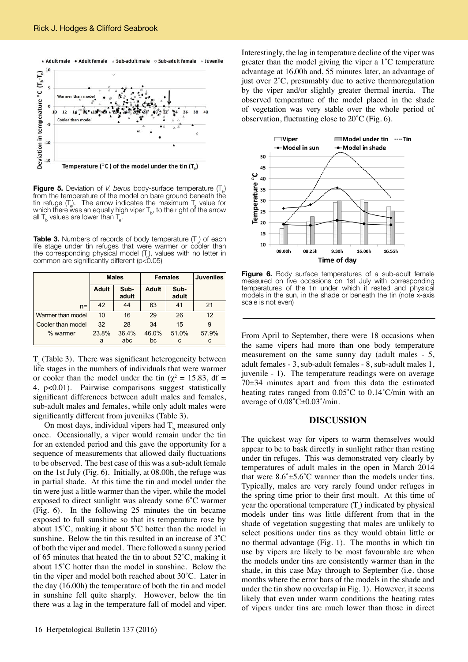

**Figure 5.** Deviation of *V. berus* body-surface temperature  $(T_{b})$ from the temperature of the model on bare ground beneath the tin refuge  $(T_e)$ . The arrow indicates the maximum  $T_e$  value for which there was an equally high viper  $T_{\rm b}$ , to the right of the arrow  $\rm m\,T$ all  ${\sf T}_{\sf b}$  values are lower than  ${\sf T}_{\sf e}$ .

**Table 3.** Numbers of records of body temperature  $(T_n)$  of each life stage under tin refuges that were warmer or cooler than the corresponding physical model  $(T_{\alpha})$ , values with no letter in common are significantly different ( $p < 0.05$ )

|                   | <b>Males</b> |               | <b>Females</b> |               | <b>Juveniles</b> |
|-------------------|--------------|---------------|----------------|---------------|------------------|
|                   | <b>Adult</b> | Sub-<br>adult | <b>Adult</b>   | Sub-<br>adult |                  |
| $n =$             | 42           | 44            | 63             | 41            | 21               |
| Warmer than model | 10           | 16            | 29             | 26            | 12               |
| Cooler than model | 32           | 28            | 34             | 15            | 9                |
| % warmer          | 23.8%        | 36.4%         | 46.0%          | 51.0%         | 57.9%            |
|                   | a            | abc           | bc             | c             | c                |

 $T_e$  (Table 3). There was significant heterogeneity between life stages in the numbers of individuals that were warmer or cooler than the model under the tin ( $\chi^2 = 15.83$ , df = 4, p<0.01). Pairwise comparisons suggest statistically significant differences between adult males and females, sub-adult males and females, while only adult males were significantly different from juveniles (Table 3).

On most days, individual vipers had  $T<sub>b</sub>$  measured only once. Occasionally, a viper would remain under the tin for an extended period and this gave the opportunity for a sequence of measurements that allowed daily fluctuations to be observed. The best case of this was a sub-adult female on the 1st July (Fig. 6). Initially, at 08.00h, the refuge was in partial shade. At this time the tin and model under the tin were just a little warmer than the viper, while the model exposed to direct sunlight was already some 6˚C warmer (Fig. 6). In the following 25 minutes the tin became exposed to full sunshine so that its temperature rose by about 15˚C, making it about 5˚C hotter than the model in sunshine. Below the tin this resulted in an increase of 3˚C of both the viper and model. There followed a sunny period of 65 minutes that heated the tin to about 52˚C, making it about 15˚C hotter than the model in sunshine. Below the tin the viper and model both reached about 30˚C. Later in the day (16.00h) the temperature of both the tin and model in sunshine fell quite sharply. However, below the tin there was a lag in the temperature fall of model and viper.

16 Herpetological Bulletin 137 (2016)

Interestingly, the lag in temperature decline of the viper was greater than the model giving the viper a 1˚C temperature advantage at 16.00h and, 55 minutes later, an advantage of just over 2˚C, presumably due to active thermoregulation by the viper and/or slightly greater thermal inertia. The observed temperature of the model placed in the shade of vegetation was very stable over the whole period of observation, fluctuating close to 20˚C (Fig. 6).



**Figure 6.** Body surface temperatures of a sub-adult female measured on five occasions on 1st July with corresponding temperatures of the tin under which it rested and physical models in the sun, in the shade or beneath the tin (note x-axis scale is not even)

From April to September, there were 18 occasions when the same vipers had more than one body temperature measurement on the same sunny day (adult males - 5, adult females - 3, sub-adult females - 8, sub-adult males 1, juvenile - 1). The temperature readings were on average 70±34 minutes apart and from this data the estimated heating rates ranged from 0.05˚C to 0.14˚C/min with an average of 0.08˚C±0.03˚/min.

## **DISCUSSION**

The quickest way for vipers to warm themselves would appear to be to bask directly in sunlight rather than resting under tin refuges. This was demonstrated very clearly by temperatures of adult males in the open in March 2014 that were  $8.6^{\circ} \pm 5.6^{\circ}$ C warmer than the models under tins. Typically, males are very rarely found under refuges in the spring time prior to their first moult. At this time of year the operational temperature  $(T_e)$  indicated by physical models under tins was little different from that in the shade of vegetation suggesting that males are unlikely to select positions under tins as they would obtain little or no thermal advantage (Fig. 1). The months in which tin use by vipers are likely to be most favourable are when the models under tins are consistently warmer than in the shade, in this case May through to September (i.e. those months where the error bars of the models in the shade and under the tin show no overlap in Fig. 1). However, it seems likely that even under warm conditions the heating rates of vipers under tins are much lower than those in direct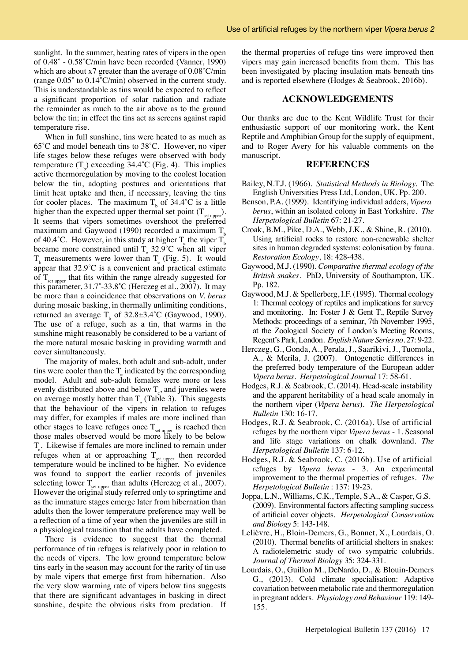sunlight. In the summer, heating rates of vipers in the open of 0.48˚ - 0.58˚C/min have been recorded (Vanner, 1990) which are about x7 greater than the average of 0.08˚C/min (range 0.05˚ to 0.14˚C/min) observed in the current study. This is understandable as tins would be expected to reflect a significant proportion of solar radiation and radiate the remainder as much to the air above as to the ground below the tin; in effect the tins act as screens against rapid temperature rise.

When in full sunshine, tins were heated to as much as 65˚C and model beneath tins to 38˚C. However, no viper life stages below these refuges were observed with body temperature  $(T_b)$  exceeding 34.4°C (Fig. 4). This implies active thermoregulation by moving to the coolest location below the tin, adopting postures and orientations that limit heat uptake and then, if necessary, leaving the tins for cooler places. The maximum  $T_b$  of 34.4°C is a little higher than the expected upper thermal set point  $(T_{set unner})$ . It seems that vipers sometimes overshoot the preferred maximum and Gaywood (1990) recorded a maximum  $T<sub>1</sub>$ of 40.4°C. However, in this study at higher  $T_e$  the viper  $T_b$ became more constrained until  $T_e$  32.9°C when all viper  $T<sub>b</sub>$  measurements were lower than  $T<sub>e</sub>$  (Fig. 5). It would appear that 32.9˚C is a convenient and practical estimate of  $T_{\text{set upper}}$  that fits within the range already suggested for this parameter, 31.7˚-33.8˚C (Herczeg et al., 2007). It may be more than a coincidence that observations on *V. berus* during mosaic basking, in thermally unlimiting conditions, returned an average  $T_b$  of 32.8±3.4°C (Gaywood, 1990). The use of a refuge, such as a tin, that warms in the sunshine might reasonably be considered to be a variant of the more natural mosaic basking in providing warmth and cover simultaneously.

The majority of males, both adult and sub-adult, under tins were cooler than the  $T_e$  indicated by the corresponding model. Adult and sub-adult females were more or less evenly distributed above and below  $T_e$ , and juveniles were on average mostly hotter than  $T_e$  (Table 3). This suggests that the behaviour of the vipers in relation to refuges may differ, for examples if males are more inclined than other stages to leave refuges once  $T_{\text{set upper}}$  is reached then those males observed would be more likely to be below  $T_e$ . Likewise if females are more inclined to remain under refuges when at or approaching  $T_{\text{set upper}}$  then recorded temperature would be inclined to be higher. No evidence was found to support the earlier records of juveniles selecting lower  $T_{\text{set upper}}$  than adults (Herczeg et al., 2007). However the original study referred only to springtime and as the immature stages emerge later from hibernation than adults then the lower temperature preference may well be a reflection of a time of year when the juveniles are still in a physiological transition that the adults have completed.

There is evidence to suggest that the thermal performance of tin refuges is relatively poor in relation to the needs of vipers. The low ground temperature below tins early in the season may account for the rarity of tin use by male vipers that emerge first from hibernation. Also the very slow warming rate of vipers below tins suggests that there are significant advantages in basking in direct sunshine, despite the obvious risks from predation. If the thermal properties of refuge tins were improved then vipers may gain increased benefits from them. This has been investigated by placing insulation mats beneath tins and is reported elsewhere (Hodges & Seabrook, 2016b).

## **ACKNOWLEDGEMENTS**

Our thanks are due to the Kent Wildlife Trust for their enthusiastic support of our monitoring work, the Kent Reptile and Amphibian Group for the supply of equipment, and to Roger Avery for his valuable comments on the manuscript.

### **REFERENCES**

- Bailey, N.T.J. (1966). *Statistical Methods in Biology.* The English Universities Press Ltd, London, UK. Pp. 200.
- Benson, P.A. (1999). Identifying individual adders, *Vipera berus*, within an isolated colony in East Yorkshire. *The Herpetological Bulletin* 67: 21-27.
- Croak, B.M., Pike, D.A., Webb, J.K., & Shine, R. (2010). Using artificial rocks to restore non-renewable shelter sites in human degraded systems: colonisation by fauna. *Restoration Ecology*, 18: 428-438.
- Gaywood, M.J. (1990). *Comparative thermal ecology of the British snakes*. PhD, University of Southampton, UK. Pp. 182.
- Gaywood, M.J. & Spellerberg, I.F. (1995). Thermal ecology 1: Thermal ecology of reptiles and implications for survey and monitoring. In: Foster J & Gent T., Reptile Survey Methods: proceedings of a seminar, 7th November 1995, at the Zoological Society of London's Meeting Rooms, Regent's Park, London. *English Nature Series no*. 27: 9-22.
- Herczeg, G., Gonda, A., Perala, J., Saarikivi, J., Tuomola, A., & Merila, J. (2007). Ontogenetic differences in the preferred body temperature of the European adder *Vipera berus*. *Herpetological Journal* 17: 58-61.
- Hodges, R.J. & Seabrook, C. (2014). Head-scale instability and the apparent heritability of a head scale anomaly in the northern viper (*Vipera berus*). *The Herpetological Bulletin* 130: 16-17.
- Hodges, R.J. & Seabrook, C. (2016a). Use of artificial refuges by the northern viper *Vipera berus* - 1. Seasonal and life stage variations on chalk downland. *The Herpetological Bulletin* 137: 6-12.
- Hodges, R.J. & Seabrook, C. (2016b). Use of artificial refuges by *Vipera berus* - 3. An experimental improvement to the thermal properties of refuges. *The Herpetological Bulletin* : 137: 19-23.
- Joppa, L.N., Williams, C.K., Temple, S.A., & Casper, G.S. (2009). Environmental factors affecting sampling success of artificial cover objects. *Herpetological Conservation and Biology* 5: 143-148.
- Lelièvre, H., Bloin-Demers, G., Bonnet, X., Lourdais, O. (2010). Thermal benefits of artificial shelters in snakes: A radiotelemetric study of two sympatric colubrids. *Journal of Thermal Biology* 35: 324-331.
- Lourdais, O., Guillon M., DeNardo, D., & Blouin-Demers G., (2013). Cold climate specialisation: Adaptive covariation between metabolic rate and thermoregulation in pregnant adders. *Physiology and Behaviour* 119: 149- 155.